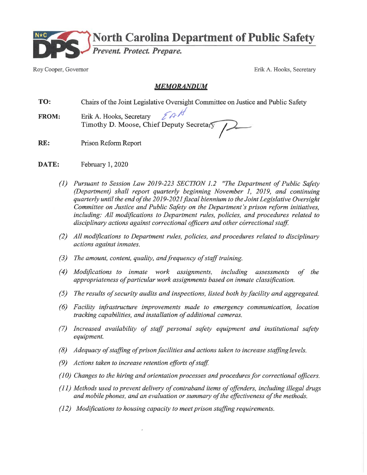

Roy Cooper, Governor

Erik A. Hooks, Secretary

### **MEMORANDUM**

- TO: Chairs of the Joint Legislative Oversight Committee on Justice and Public Safety
- EAN Erik A. Hooks, Secretary **FROM:** Timothy D. Moose, Chief Deputy Secretary
- RE: Prison Reform Report
- DATE: February 1, 2020
	- (1) Pursuant to Session Law 2019-223 SECTION 1.2 "The Department of Public Safety (Department) shall report quarterly beginning November 1, 2019, and continuing quarterly until the end of the 2019-2021 fiscal biennium to the Joint Legislative Oversight Committee on Justice and Public Safety on the Department's prison reform initiatives, including: All modifications to Department rules, policies, and procedures related to disciplinary actions against correctional officers and other correctional staff.
	- (2) All modifications to Department rules, policies, and procedures related to disciplinary actions against inmates.
	- $(3)$  The amount, content, quality, and frequency of staff training.
	- (4) Modifications to inmate work assignments, including assessments of the appropriateness of particular work assignments based on inmate classification.
	- (5) The results of security audits and inspections, listed both by facility and aggregated.
	- (6) Facility infrastructure improvements made to emergency communication, location tracking capabilities, and installation of additional cameras.
	- (7) Increased availability of staff personal safety equipment and institutional safety equipment.
	- (8) Adequacy of staffing of prison facilities and actions taken to increase staffing levels.
	- (9) Actions taken to increase retention efforts of staff.
	- $(10)$  Changes to the hiring and orientation processes and procedures for correctional officers.
	- $(11)$  Methods used to prevent delivery of contraband items of offenders, including illegal drugs and mobile phones, and an evaluation or summary of the effectiveness of the methods.
	- (12) Modifications to housing capacity to meet prison staffing requirements.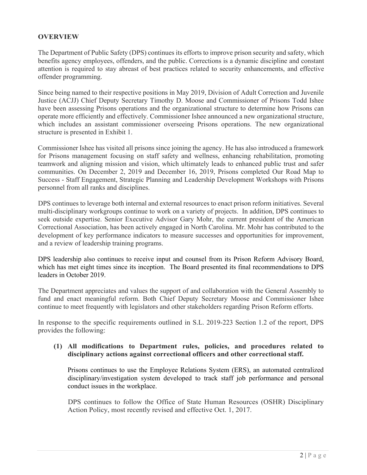### **OVERVIEW**

The Department of Public Safety (DPS) continues its efforts to improve prison security and safety, which benefits agency employees, offenders, and the public. Corrections is a dynamic discipline and constant attention is required to stay abreast of best practices related to security enhancements, and effective offender programming.

Since being named to their respective positions in May 2019, Division of Adult Correction and Juvenile Justice (ACJJ) Chief Deputy Secretary Timothy D. Moose and Commissioner of Prisons Todd Ishee have been assessing Prisons operations and the organizational structure to determine how Prisons can operate more efficiently and effectively. Commissioner Ishee announced a new organizational structure, which includes an assistant commissioner overseeing Prisons operations. The new organizational structure is presented in Exhibit 1.

Commissioner Ishee has visited all prisons since joining the agency. He has also introduced a framework for Prisons management focusing on staff safety and wellness, enhancing rehabilitation, promoting teamwork and aligning mission and vision, which ultimately leads to enhanced public trust and safer communities. On December 2, 2019 and December 16, 2019, Prisons completed Our Road Map to Success - Staff Engagement, Strategic Planning and Leadership Development Workshops with Prisons personnel from all ranks and disciplines.

DPS continues to leverage both internal and external resources to enact prison reform initiatives. Several multi-disciplinary workgroups continue to work on a variety of projects. In addition, DPS continues to seek outside expertise. Senior Executive Advisor Gary Mohr, the current president of the American Correctional Association, has been actively engaged in North Carolina. Mr. Mohr has contributed to the development of key performance indicators to measure successes and opportunities for improvement, and a review of leadership training programs.

DPS leadership also continues to receive input and counsel from its Prison Reform Advisory Board, which has met eight times since its inception. The Board presented its final recommendations to DPS leaders in October 2019.

The Department appreciates and values the support of and collaboration with the General Assembly to fund and enact meaningful reform. Both Chief Deputy Secretary Moose and Commissioner Ishee continue to meet frequently with legislators and other stakeholders regarding Prison Reform efforts.

In response to the specific requirements outlined in S.L. 2019-223 Section 1.2 of the report, DPS provides the following:

#### **(1) All modifications to Department rules, policies, and procedures related to disciplinary actions against correctional officers and other correctional staff.**

Prisons continues to use the Employee Relations System (ERS), an automated centralized disciplinary/investigation system developed to track staff job performance and personal conduct issues in the workplace.

DPS continues to follow the Office of State Human Resources (OSHR) Disciplinary Action Policy, most recently revised and effective Oct. 1, 2017.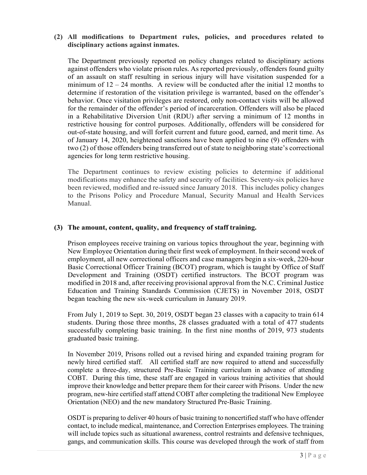#### **(2) All modifications to Department rules, policies, and procedures related to disciplinary actions against inmates.**

The Department previously reported on policy changes related to disciplinary actions against offenders who violate prison rules. As reported previously, offenders found guilty of an assault on staff resulting in serious injury will have visitation suspended for a minimum of  $12 - 24$  months. A review will be conducted after the initial 12 months to determine if restoration of the visitation privilege is warranted, based on the offender's behavior. Once visitation privileges are restored, only non-contact visits will be allowed for the remainder of the offender's period of incarceration. Offenders will also be placed in a Rehabilitative Diversion Unit (RDU) after serving a minimum of 12 months in restrictive housing for control purposes. Additionally, offenders will be considered for out-of-state housing, and will forfeit current and future good, earned, and merit time. As of January 14, 2020, heightened sanctions have been applied to nine (9) offenders with two (2) of those offenders being transferred out of state to neighboring state's correctional agencies for long term restrictive housing.

The Department continues to review existing policies to determine if additional modifications may enhance the safety and security of facilities. Seventy-six policies have been reviewed, modified and re-issued since January 2018. This includes policy changes to the Prisons Policy and Procedure Manual, Security Manual and Health Services Manual.

#### **(3) The amount, content, quality, and frequency of staff training.**

Prison employees receive training on various topics throughout the year, beginning with New Employee Orientation during their first week of employment. In their second week of employment, all new correctional officers and case managers begin a six-week, 220-hour Basic Correctional Officer Training (BCOT) program, which is taught by Office of Staff Development and Training (OSDT) certified instructors. The BCOT program was modified in 2018 and, after receiving provisional approval from the N.C. Criminal Justice Education and Training Standards Commission (CJETS) in November 2018, OSDT began teaching the new six-week curriculum in January 2019.

From July 1, 2019 to Sept. 30, 2019, OSDT began 23 classes with a capacity to train 614 students. During those three months, 28 classes graduated with a total of 477 students successfully completing basic training. In the first nine months of 2019, 973 students graduated basic training.

In November 2019, Prisons rolled out a revised hiring and expanded training program for newly hired certified staff. All certified staff are now required to attend and successfully complete a three-day, structured Pre-Basic Training curriculum in advance of attending COBT. During this time, these staff are engaged in various training activities that should improve their knowledge and better prepare them for their career with Prisons. Under the new program, new-hire certified staff attend COBT after completing the traditional New Employee Orientation (NEO) and the new mandatory Structured Pre-Basic Training.

OSDT is preparing to deliver 40 hours of basic training to noncertified staff who have offender contact, to include medical, maintenance, and Correction Enterprises employees. The training will include topics such as situational awareness, control restraints and defensive techniques, gangs, and communication skills. This course was developed through the work of staff from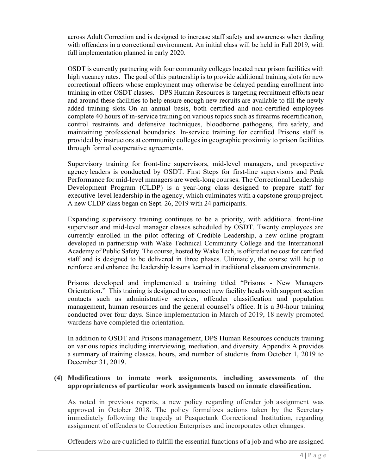across Adult Correction and is designed to increase staff safety and awareness when dealing with offenders in a correctional environment. An initial class will be held in Fall 2019, with full implementation planned in early 2020.

OSDT is currently partnering with four community colleges located near prison facilities with high vacancy rates. The goal of this partnership is to provide additional training slots for new correctional officers whose employment may otherwise be delayed pending enrollment into training in other OSDT classes. DPS Human Resources is targeting recruitment efforts near and around these facilities to help ensure enough new recruits are available to fill the newly added training slots. On an annual basis, both certified and non-certified employees complete 40 hours of in-service training on various topics such as firearms recertification, control restraints and defensive techniques, bloodborne pathogens, fire safety, and maintaining professional boundaries. In-service training for certified Prisons staff is provided by instructors at community colleges in geographic proximity to prison facilities through formal cooperative agreements.

Supervisory training for front-line supervisors, mid-level managers, and prospective agency leaders is conducted by OSDT. First Steps for first-line supervisors and Peak Performance for mid-level managers are week-long courses. The Correctional Leadership Development Program (CLDP) is a year-long class designed to prepare staff for executive-level leadership in the agency, which culminates with a capstone group project. A new CLDP class began on Sept. 26, 2019 with 24 participants.

Expanding supervisory training continues to be a priority, with additional front-line supervisor and mid-level manager classes scheduled by OSDT. Twenty employees are currently enrolled in the pilot offering of Credible Leadership, a new online program developed in partnership with Wake Technical Community College and the International Academy of Public Safety. The course, hosted by Wake Tech, is offered at no cost for certified staff and is designed to be delivered in three phases. Ultimately, the course will help to reinforce and enhance the leadership lessons learned in traditional classroom environments.

Prisons developed and implemented a training titled "Prisons - New Managers Orientation." This training is designed to connect new facility heads with support section contacts such as administrative services, offender classification and population management, human resources and the general counsel's office. It is a 30-hour training conducted over four days. Since implementation in March of 2019, 18 newly promoted wardens have completed the orientation.

In addition to OSDT and Prisons management, DPS Human Resources conducts training on various topics including interviewing, mediation, and diversity. Appendix A provides a summary of training classes, hours, and number of students from October 1, 2019 to December 31, 2019.

### **(4) Modifications to inmate work assignments, including assessments of the appropriateness of particular work assignments based on inmate classification.**

As noted in previous reports, a new policy regarding offender job assignment was approved in October 2018. The policy formalizes actions taken by the Secretary immediately following the tragedy at Pasquotank Correctional Institution, regarding assignment of offenders to Correction Enterprises and incorporates other changes.

Offenders who are qualified to fulfill the essential functions of a job and who are assigned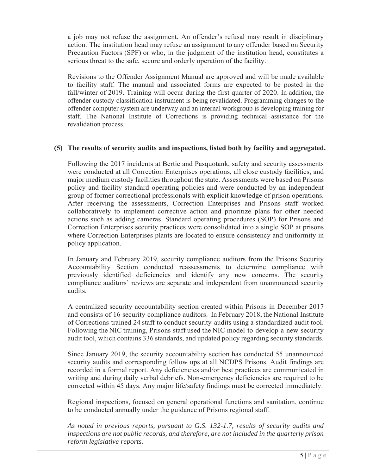a job may not refuse the assignment. An offender's refusal may result in disciplinary action. The institution head may refuse an assignment to any offender based on Security Precaution Factors (SPF) or who, in the judgment of the institution head, constitutes a serious threat to the safe, secure and orderly operation of the facility.

Revisions to the Offender Assignment Manual are approved and will be made available to facility staff. The manual and associated forms are expected to be posted in the fall/winter of 2019. Training will occur during the first quarter of 2020. In addition, the offender custody classification instrument is being revalidated. Programming changes to the offender computer system are underway and an internal workgroup is developing training for staff. The National Institute of Corrections is providing technical assistance for the revalidation process.

#### **(5) The results of security audits and inspections, listed both by facility and aggregated.**

Following the 2017 incidents at Bertie and Pasquotank, safety and security assessments were conducted at all Correction Enterprises operations, all close custody facilities, and major medium custody facilities throughout the state. Assessments were based on Prisons policy and facility standard operating policies and were conducted by an independent group of former correctional professionals with explicit knowledge of prison operations. After receiving the assessments, Correction Enterprises and Prisons staff worked collaboratively to implement corrective action and prioritize plans for other needed actions such as adding cameras. Standard operating procedures (SOP) for Prisons and Correction Enterprises security practices were consolidated into a single SOP at prisons where Correction Enterprises plants are located to ensure consistency and uniformity in policy application.

In January and February 2019, security compliance auditors from the Prisons Security Accountability Section conducted reassessments to determine compliance with previously identified deficiencies and identify any new concerns. The security compliance auditors' reviews are separate and independent from unannounced security audits.

A centralized security accountability section created within Prisons in December 2017 and consists of 16 security compliance auditors. In February 2018, the National Institute of Corrections trained 24 staff to conduct security audits using a standardized audit tool. Following the NIC training, Prisons staff used the NIC model to develop a new security audit tool, which contains 336 standards, and updated policy regarding security standards.

Since January 2019, the security accountability section has conducted 55 unannounced security audits and corresponding follow ups at all NCDPS Prisons. Audit findings are recorded in a formal report. Any deficiencies and/or best practices are communicated in writing and during daily verbal debriefs. Non-emergency deficiencies are required to be corrected within 45 days. Any major life/safety findings must be corrected immediately.

Regional inspections, focused on general operational functions and sanitation, continue to be conducted annually under the guidance of Prisons regional staff.

*As noted in previous reports, pursuant to G.S. 132-1.7, results of security audits and inspections are not public records, and therefore, are not included in the quarterly prison reform legislative reports.*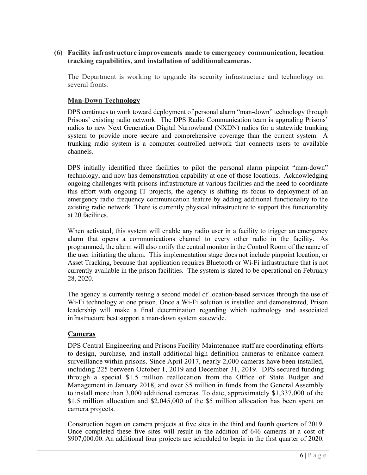**(6) Facility infrastructure improvements made to emergency communication, location tracking capabilities, and installation of additional cameras.**

The Department is working to upgrade its security infrastructure and technology on several fronts:

#### **Man-Down Technology**

DPS continues to work toward deployment of personal alarm "man-down" technology through Prisons' existing radio network. The DPS Radio Communication team is upgrading Prisons' radios to new Next Generation Digital Narrowband (NXDN) radios for a statewide trunking system to provide more secure and comprehensive coverage than the current system. A trunking radio system is a computer-controlled network that connects users to available channels.

DPS initially identified three facilities to pilot the personal alarm pinpoint "man-down" technology, and now has demonstration capability at one of those locations. Acknowledging ongoing challenges with prisons infrastructure at various facilities and the need to coordinate this effort with ongoing IT projects, the agency is shifting its focus to deployment of an emergency radio frequency communication feature by adding additional functionality to the existing radio network. There is currently physical infrastructure to support this functionality at 20 facilities.

When activated, this system will enable any radio user in a facility to trigger an emergency alarm that opens a communications channel to every other radio in the facility. As programmed, the alarm will also notify the central monitor in the Control Room of the name of the user initiating the alarm. This implementation stage does not include pinpoint location, or Asset Tracking, because that application requires Bluetooth or Wi-Fi infrastructure that is not currently available in the prison facilities. The system is slated to be operational on February 28, 2020.

The agency is currently testing a second model of location-based services through the use of Wi-Fi technology at one prison. Once a Wi-Fi solution is installed and demonstrated, Prison leadership will make a final determination regarding which technology and associated infrastructure best support a man-down system statewide.

#### **Cameras**

DPS Central Engineering and Prisons Facility Maintenance staff are coordinating efforts to design, purchase, and install additional high definition cameras to enhance camera surveillance within prisons. Since April 2017, nearly 2,000 cameras have been installed, including 225 between October 1, 2019 and December 31, 2019. DPS secured funding through a special \$1.5 million reallocation from the Office of State Budget and Management in January 2018, and over \$5 million in funds from the General Assembly to install more than 3,000 additional cameras. To date, approximately \$1,337,000 of the \$1.5 million allocation and \$2,045,000 of the \$5 million allocation has been spent on camera projects.

Construction began on camera projects at five sites in the third and fourth quarters of 2019. Once completed these five sites will result in the addition of 646 cameras at a cost of \$907,000.00. An additional four projects are scheduled to begin in the first quarter of 2020.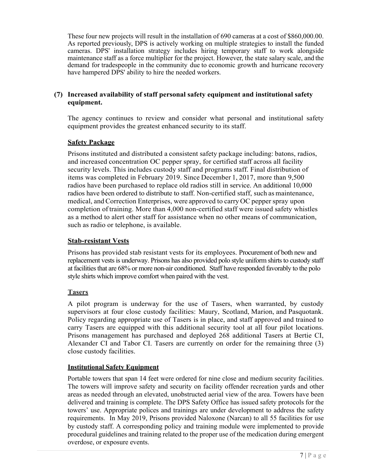These four new projects will result in the installation of 690 cameras at a cost of \$860,000.00. As reported previously, DPS is actively working on multiple strategies to install the funded cameras. DPS' installation strategy includes hiring temporary staff to work alongside maintenance staff as a force multiplier for the project. However, the state salary scale, and the demand for tradespeople in the community due to economic growth and hurricane recovery have hampered DPS' ability to hire the needed workers.

### **(7) Increased availability of staff personal safety equipment and institutional safety equipment.**

The agency continues to review and consider what personal and institutional safety equipment provides the greatest enhanced security to its staff.

### **Safety Package**

Prisons instituted and distributed a consistent safety package including: batons, radios, and increased concentration OC pepper spray, for certified staff across all facility security levels. This includes custody staff and programs staff. Final distribution of items was completed in February 2019. Since December 1, 2017, more than 9,500 radios have been purchased to replace old radios still in service. An additional 10,000 radios have been ordered to distribute to staff. Non-certified staff, such as maintenance, medical, and Correction Enterprises, were approved to carry OC pepper spray upon completion of training. More than 4,000 non-certified staff were issued safety whistles as a method to alert other staff for assistance when no other means of communication, such as radio or telephone, is available.

### **Stab-resistant Vests**

Prisons has provided stab resistant vests for its employees. Procurement of both new and replacement vests is underway. Prisons has also provided polo style uniform shirts to custody staff at facilities that are 68% or more non-air conditioned. Staff have responded favorably to the polo style shirts which improve comfort when paired with the vest.

#### **Tasers**

A pilot program is underway for the use of Tasers, when warranted, by custody supervisors at four close custody facilities: Maury, Scotland, Marion, and Pasquotank. Policy regarding appropriate use of Tasers is in place, and staff approved and trained to carry Tasers are equipped with this additional security tool at all four pilot locations. Prisons management has purchased and deployed 268 additional Tasers at Bertie CI, Alexander CI and Tabor CI. Tasers are currently on order for the remaining three (3) close custody facilities.

#### **Institutional Safety Equipment**

Portable towers that span 14 feet were ordered for nine close and medium security facilities. The towers will improve safety and security on facility offender recreation yards and other areas as needed through an elevated, unobstructed aerial view of the area. Towers have been delivered and training is complete. The DPS Safety Office has issued safety protocols for the towers' use. Appropriate polices and trainings are under development to address the safety requirements. In May 2019, Prisons provided Naloxone (Narcan) to all 55 facilities for use by custody staff. A corresponding policy and training module were implemented to provide procedural guidelines and training related to the proper use of the medication during emergent overdose, or exposure events.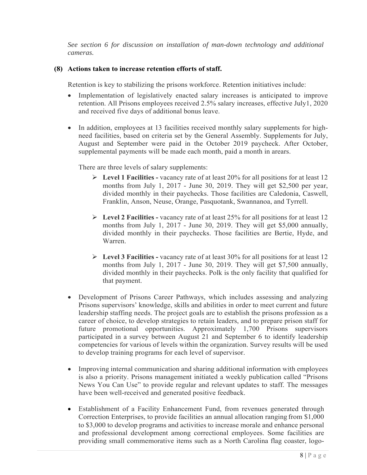*See section 6 for discussion on installation of man-down technology and additional cameras.*

## **(8) Actions taken to increase retention efforts of staff.**

Retention is key to stabilizing the prisons workforce. Retention initiatives include:

- Implementation of legislatively enacted salary increases is anticipated to improve retention. All Prisons employees received 2.5% salary increases, effective July1, 2020 and received five days of additional bonus leave.
- In addition, employees at 13 facilities received monthly salary supplements for highneed facilities, based on criteria set by the General Assembly. Supplements for July, August and September were paid in the October 2019 paycheck. After October, supplemental payments will be made each month, paid a month in arears.

There are three levels of salary supplements:

- **Level 1 Facilities -** vacancy rate of at least 20% for all positions for at least 12 months from July 1, 2017 - June 30, 2019. They will get \$2,500 per year, divided monthly in their paychecks. Those facilities are Caledonia, Caswell, Franklin, Anson, Neuse, Orange, Pasquotank, Swannanoa, and Tyrrell.
- **Level 2 Facilities -** vacancy rate of at least 25% for all positions for at least 12 months from July 1, 2017 - June 30, 2019. They will get \$5,000 annually, divided monthly in their paychecks. Those facilities are Bertie, Hyde, and Warren.
- **Level 3 Facilities -** vacancy rate of at least 30% for all positions for at least 12 months from July 1, 2017 - June 30, 2019. They will get \$7,500 annually, divided monthly in their paychecks. Polk is the only facility that qualified for that payment.
- Development of Prisons Career Pathways, which includes assessing and analyzing Prisons supervisors' knowledge, skills and abilities in order to meet current and future leadership staffing needs. The project goals are to establish the prisons profession as a career of choice, to develop strategies to retain leaders, and to prepare prison staff for future promotional opportunities. Approximately 1,700 Prisons supervisors participated in a survey between August 21 and September 6 to identify leadership competencies for various of levels within the organization. Survey results will be used to develop training programs for each level of supervisor.
- Improving internal communication and sharing additional information with employees is also a priority. Prisons management initiated a weekly publication called "Prisons News You Can Use" to provide regular and relevant updates to staff. The messages have been well-received and generated positive feedback.
- Establishment of a Facility Enhancement Fund, from revenues generated through Correction Enterprises, to provide facilities an annual allocation ranging from \$1,000 to \$3,000 to develop programs and activities to increase morale and enhance personal and professional development among correctional employees. Some facilities are providing small commemorative items such as a North Carolina flag coaster, logo-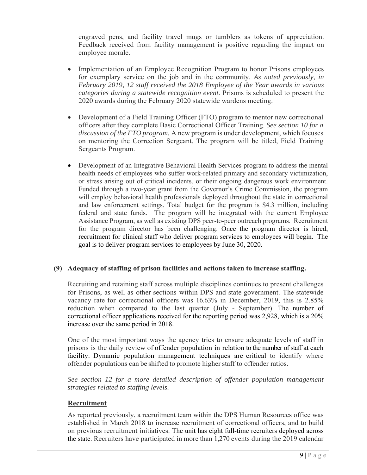engraved pens, and facility travel mugs or tumblers as tokens of appreciation. Feedback received from facility management is positive regarding the impact on employee morale.

- Implementation of an Employee Recognition Program to honor Prisons employees for exemplary service on the job and in the community. *As noted previously, in February 2019, 12 staff received the 2018 Employee of the Year awards in various categories during a statewide recognition event.* Prisons is scheduled to present the 2020 awards during the February 2020 statewide wardens meeting.
- Development of a Field Training Officer (FTO) program to mentor new correctional officers after they complete Basic Correctional Officer Training. *See section 10 for a discussion of the FTO program.* A new program is under development, which focuses on mentoring the Correction Sergeant. The program will be titled, Field Training Sergeants Program.
- Development of an Integrative Behavioral Health Services program to address the mental health needs of employees who suffer work-related primary and secondary victimization, or stress arising out of critical incidents, or their ongoing dangerous work environment. Funded through a two-year grant from the Governor's Crime Commission, the program will employ behavioral health professionals deployed throughout the state in correctional and law enforcement settings. Total budget for the program is \$4.3 million, including federal and state funds. The program will be integrated with the current Employee Assistance Program, as well as existing DPS peer-to-peer outreach programs. Recruitment for the program director has been challenging. Once the program director is hired, recruitment for clinical staff who deliver program services to employees will begin. The goal is to deliver program services to employees by June 30, 2020.

#### **(9) Adequacy of staffing of prison facilities and actions taken to increase staffing.**

Recruiting and retaining staff across multiple disciplines continues to present challenges for Prisons, as well as other sections within DPS and state government. The statewide vacancy rate for correctional officers was 16.63% in December, 2019, this is 2.85% reduction when compared to the last quarter (July - September). The number of correctional officer applications received for the reporting period was 2,928, which is a 20% increase over the same period in 2018.

One of the most important ways the agency tries to ensure adequate levels of staff in prisons is the daily review of offender population in relation to the number of staff at each facility. Dynamic population management techniques are critical to identify where offender populations can be shifted to promote higher staff to offender ratios.

*See section 12 for a more detailed description of offender population management strategies related to staffing levels.* 

#### **Recruitment**

As reported previously, a recruitment team within the DPS Human Resources office was established in March 2018 to increase recruitment of correctional officers, and to build on previous recruitment initiatives. The unit has eight full-time recruiters deployed across the state. Recruiters have participated in more than 1,270 events during the 2019 calendar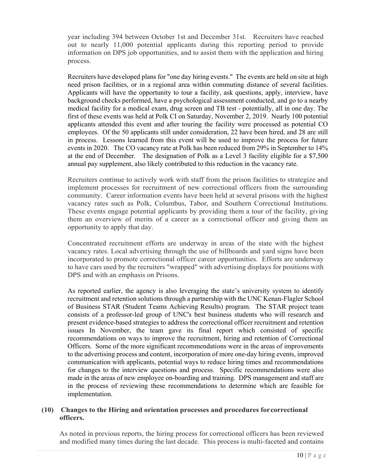year including 394 between October 1st and December 31st. Recruiters have reached out to nearly 11,000 potential applicants during this reporting period to provide information on DPS job opportunities, and to assist them with the application and hiring process.

Recruiters have developed plans for "one day hiring events." The events are held on site at high need prison facilities, or in a regional area within commuting distance of several facilities. Applicants will have the opportunity to tour a facility, ask questions, apply, interview, have background checks performed, have a psychological assessment conducted, and go to a nearby medical facility for a medical exam, drug screen and TB test - potentially, all in one day. The first of these events was held at Polk CI on Saturday, November 2, 2019. Nearly 100 potential applicants attended this event and after touring the facility were processed as potential CO employees. Of the 50 applicants still under consideration, 22 have been hired, and 28 are still in process. Lessons learned from this event will be used to improve the process for future events in 2020. The CO vacancy rate at Polk has been reduced from 29% in September to 14% at the end of December. The designation of Polk as a Level 3 facility eligible for a \$7,500 annual pay supplement, also likely contributed to this reduction in the vacancy rate.

Recruiters continue to actively work with staff from the prison facilities to strategize and implement processes for recruitment of new correctional officers from the surrounding community. Career information events have been held at several prisons with the highest vacancy rates such as Polk, Columbus, Tabor, and Southern Correctional Institutions. These events engage potential applicants by providing them a tour of the facility, giving them an overview of merits of a career as a correctional officer and giving them an opportunity to apply that day.

Concentrated recruitment efforts are underway in areas of the state with the highest vacancy rates. Local advertising through the use of billboards and yard signs have been incorporated to promote correctional officer career opportunities. Efforts are underway to have cars used by the recruiters "wrapped" with advertising displays for positions with DPS and with an emphasis on Prisons.

As reported earlier, the agency is also leveraging the state's university system to identify recruitment and retention solutions through a partnership with the UNC Kenan-Flagler School of Business STAR (Student Teams Achieving Results) program. The STAR project team consists of a professor-led group of UNC's best business students who will research and present evidence-based strategies to address the correctional officer recruitment and retention issues In November, the team gave its final report which consisted of specific recommendations on ways to improve the recruitment, hiring and retention of Correctional Officers. Some of the more significant recommendations were in the areas of improvements to the advertising process and content, incorporation of more one-day hiring events, improved communication with applicants, potential ways to reduce hiring times and recommendations for changes to the interview questions and process. Specific recommendations were also made in the areas of new employee on-boarding and training. DPS management and staff are in the process of reviewing these recommendations to determine which are feasible for implementation.

#### **(10) Changes to the Hiring and orientation processes and procedures for correctional officers.**

As noted in previous reports, the hiring process for correctional officers has been reviewed and modified many times during the last decade. This process is multi-faceted and contains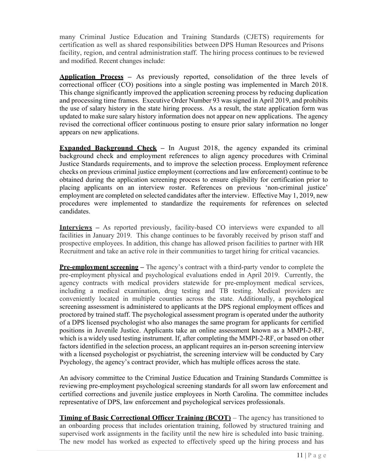many Criminal Justice Education and Training Standards (CJETS) requirements for certification as well as shared responsibilities between DPS Human Resources and Prisons facility, region, and central administration staff. The hiring process continues to be reviewed and modified. Recent changes include:

**Application Process –** As previously reported, consolidation of the three levels of correctional officer (CO) positions into a single posting was implemented in March 2018. This change significantly improved the application screening process by reducing duplication and processing time frames. Executive Order Number 93 was signed in April 2019, and prohibits the use of salary history in the state hiring process. As a result, the state application form was updated to make sure salary history information does not appear on new applications. The agency revised the correctional officer continuous posting to ensure prior salary information no longer appears on new applications.

**Expanded Background Check –** In August 2018, the agency expanded its criminal background check and employment references to align agency procedures with Criminal Justice Standards requirements, and to improve the selection process. Employment reference checks on previous criminal justice employment (corrections and law enforcement) continue to be obtained during the application screening process to ensure eligibility for certification prior to placing applicants on an interview roster. References on previous 'non-criminal justice' employment are completed on selected candidates after the interview. Effective May 1, 2019, new procedures were implemented to standardize the requirements for references on selected candidates.

**Interviews** – As reported previously, facility-based CO interviews were expanded to all facilities in January 2019. This change continues to be favorably received by prison staff and prospective employees. In addition, this change has allowed prison facilities to partner with HR Recruitment and take an active role in their communities to target hiring for critical vacancies.

**Pre-employment screening** – The agency's contract with a third-party vendor to complete the pre-employment physical and psychological evaluations ended in April 2019. Currently, the agency contracts with medical providers statewide for pre-employment medical services, including a medical examination, drug testing and TB testing. Medical providers are conveniently located in multiple counties across the state. Additionally, a psychological screening assessment is administered to applicants at the DPS regional employment offices and proctored by trained staff. The psychological assessment program is operated under the authority of a DPS licensed psychologist who also manages the same program for applicants for certified positions in Juvenile Justice. Applicants take an online assessment known as a MMPI-2-RF, which is a widely used testing instrument. If, after completing the MMPI-2-RF, or based on other factors identified in the selection process, an applicant requires an in-person screening interview with a licensed psychologist or psychiatrist, the screening interview will be conducted by Cary Psychology, the agency's contract provider, which has multiple offices across the state.

An advisory committee to the Criminal Justice Education and Training Standards Committee is reviewing pre-employment psychological screening standards for all sworn law enforcement and certified corrections and juvenile justice employees in North Carolina. The committee includes representative of DPS, law enforcement and psychological services professionals.

**Timing of Basic Correctional Officer Training (BCOT)** – The agency has transitioned to an onboarding process that includes orientation training, followed by structured training and supervised work assignments in the facility until the new hire is scheduled into basic training. The new model has worked as expected to effectively speed up the hiring process and has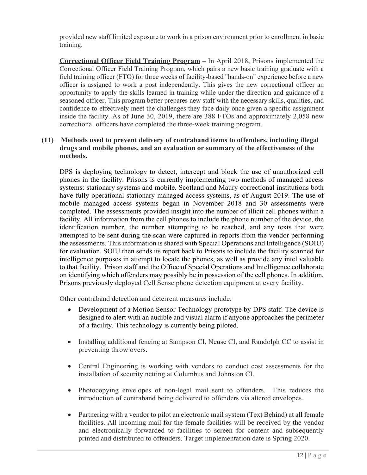provided new staff limited exposure to work in a prison environment prior to enrollment in basic training.

**Correctional Officer Field Training Program –** In April 2018, Prisons implemented the Correctional Officer Field Training Program, which pairs a new basic training graduate with a field training officer (FTO) for three weeks of facility-based "hands-on" experience before a new officer is assigned to work a post independently. This gives the new correctional officer an opportunity to apply the skills learned in training while under the direction and guidance of a seasoned officer. This program better prepares new staff with the necessary skills, qualities, and confidence to effectively meet the challenges they face daily once given a specific assignment inside the facility. As of June 30, 2019, there are 388 FTOs and approximately 2,058 new correctional officers have completed the three-week training program.

### **(11) Methods used to prevent delivery of contraband items to offenders, including illegal drugs and mobile phones, and an evaluation or summary of the effectiveness of the methods.**

DPS is deploying technology to detect, intercept and block the use of unauthorized cell phones in the facility. Prisons is currently implementing two methods of managed access systems: stationary systems and mobile. Scotland and Maury correctional institutions both have fully operational stationary managed access systems, as of August 2019. The use of mobile managed access systems began in November 2018 and 30 assessments were completed. The assessments provided insight into the number of illicit cell phones within a facility. All information from the cell phones to include the phone number of the device, the identification number, the number attempting to be reached, and any texts that were attempted to be sent during the scan were captured in reports from the vendor performing the assessments. This information is shared with Special Operations and Intelligence (SOIU) for evaluation. SOIU then sends its report back to Prisons to include the facility scanned for intelligence purposes in attempt to locate the phones, as well as provide any intel valuable to that facility. Prison staff and the Office of Special Operations and Intelligence collaborate on identifying which offenders may possibly be in possession of the cell phones. In addition, Prisons previously deployed Cell Sense phone detection equipment at every facility.

Other contraband detection and deterrent measures include:

- Development of a Motion Sensor Technology prototype by DPS staff. The device is designed to alert with an audible and visual alarm if anyone approaches the perimeter of a facility. This technology is currently being piloted.
- Installing additional fencing at Sampson CI, Neuse CI, and Randolph CC to assist in preventing throw overs.
- Central Engineering is working with vendors to conduct cost assessments for the installation of security netting at Columbus and Johnston CI.
- Photocopying envelopes of non-legal mail sent to offenders. This reduces the introduction of contraband being delivered to offenders via altered envelopes.
- Partnering with a vendor to pilot an electronic mail system (Text Behind) at all female facilities. All incoming mail for the female facilities will be received by the vendor and electronically forwarded to facilities to screen for content and subsequently printed and distributed to offenders. Target implementation date is Spring 2020.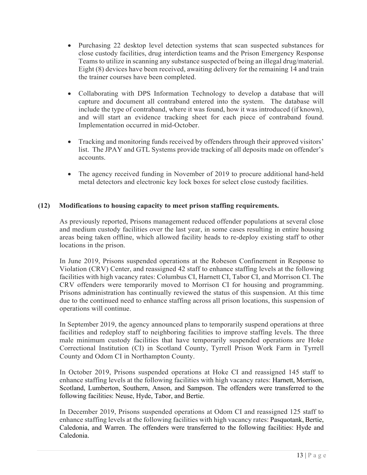- Purchasing 22 desktop level detection systems that scan suspected substances for close custody facilities, drug interdiction teams and the Prison Emergency Response Teams to utilize in scanning any substance suspected of being an illegal drug/material. Eight (8) devices have been received, awaiting delivery for the remaining 14 and train the trainer courses have been completed.
- Collaborating with DPS Information Technology to develop a database that will capture and document all contraband entered into the system. The database will include the type of contraband, where it was found, how it was introduced (if known), and will start an evidence tracking sheet for each piece of contraband found. Implementation occurred in mid-October.
- Tracking and monitoring funds received by offenders through their approved visitors' list. The JPAY and GTL Systems provide tracking of all deposits made on offender's accounts.
- The agency received funding in November of 2019 to procure additional hand-held metal detectors and electronic key lock boxes for select close custody facilities.

### **(12) Modifications to housing capacity to meet prison staffing requirements.**

As previously reported, Prisons management reduced offender populations at several close and medium custody facilities over the last year, in some cases resulting in entire housing areas being taken offline, which allowed facility heads to re-deploy existing staff to other locations in the prison.

In June 2019, Prisons suspended operations at the Robeson Confinement in Response to Violation (CRV) Center, and reassigned 42 staff to enhance staffing levels at the following facilities with high vacancy rates: Columbus CI, Harnett CI, Tabor CI, and Morrison CI. The CRV offenders were temporarily moved to Morrison CI for housing and programming. Prisons administration has continually reviewed the status of this suspension. At this time due to the continued need to enhance staffing across all prison locations, this suspension of operations will continue.

In September 2019, the agency announced plans to temporarily suspend operations at three facilities and redeploy staff to neighboring facilities to improve staffing levels. The three male minimum custody facilities that have temporarily suspended operations are Hoke Correctional Institution (CI) in Scotland County, Tyrrell Prison Work Farm in Tyrrell County and Odom CI in Northampton County.

In October 2019, Prisons suspended operations at Hoke CI and reassigned 145 staff to enhance staffing levels at the following facilities with high vacancy rates: Harnett, Morrison, Scotland, Lumberton, Southern, Anson, and Sampson. The offenders were transferred to the following facilities: Neuse, Hyde, Tabor, and Bertie.

In December 2019, Prisons suspended operations at Odom CI and reassigned 125 staff to enhance staffing levels at the following facilities with high vacancy rates: Pasquotank, Bertie, Caledonia, and Warren. The offenders were transferred to the following facilities: Hyde and Caledonia.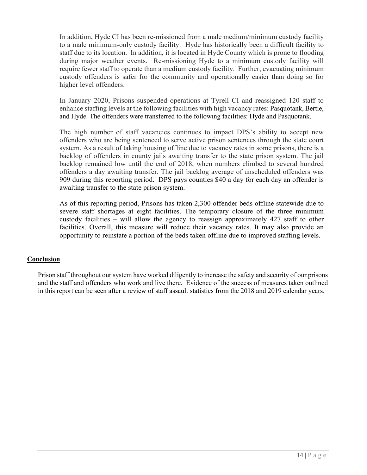In addition, Hyde CI has been re-missioned from a male medium/minimum custody facility to a male minimum-only custody facility. Hyde has historically been a difficult facility to staff due to its location. In addition, it is located in Hyde County which is prone to flooding during major weather events. Re-missioning Hyde to a minimum custody facility will require fewer staff to operate than a medium custody facility. Further, evacuating minimum custody offenders is safer for the community and operationally easier than doing so for higher level offenders.

In January 2020, Prisons suspended operations at Tyrell CI and reassigned 120 staff to enhance staffing levels at the following facilities with high vacancy rates: Pasquotank, Bertie, and Hyde. The offenders were transferred to the following facilities: Hyde and Pasquotank.

The high number of staff vacancies continues to impact DPS's ability to accept new offenders who are being sentenced to serve active prison sentences through the state court system. As a result of taking housing offline due to vacancy rates in some prisons, there is a backlog of offenders in county jails awaiting transfer to the state prison system. The jail backlog remained low until the end of 2018, when numbers climbed to several hundred offenders a day awaiting transfer. The jail backlog average of unscheduled offenders was 909 during this reporting period. DPS pays counties \$40 a day for each day an offender is awaiting transfer to the state prison system.

As of this reporting period, Prisons has taken 2,300 offender beds offline statewide due to severe staff shortages at eight facilities. The temporary closure of the three minimum custody facilities – will allow the agency to reassign approximately 427 staff to other facilities. Overall, this measure will reduce their vacancy rates. It may also provide an opportunity to reinstate a portion of the beds taken offline due to improved staffing levels.

#### **Conclusion**

 Prison staff throughout our system have worked diligently to increase the safety and security of our prisons and the staff and offenders who work and live there. Evidence of the success of measures taken outlined in this report can be seen after a review of staff assault statistics from the 2018 and 2019 calendar years.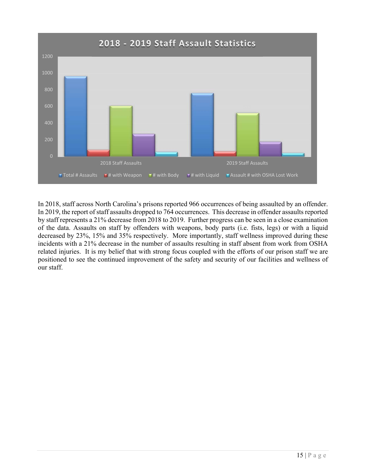

 In 2018, staff across North Carolina's prisons reported 966 occurrences of being assaulted by an offender. In 2019, the report of staff assaults dropped to 764 occurrences. This decrease in offender assaults reported by staff represents a 21% decrease from 2018 to 2019. Further progress can be seen in a close examination of the data. Assaults on staff by offenders with weapons, body parts (i.e. fists, legs) or with a liquid decreased by 23%, 15% and 35% respectively. More importantly, staff wellness improved during these incidents with a 21% decrease in the number of assaults resulting in staff absent from work from OSHA related injuries. It is my belief that with strong focus coupled with the efforts of our prison staff we are positioned to see the continued improvement of the safety and security of our facilities and wellness of our staff.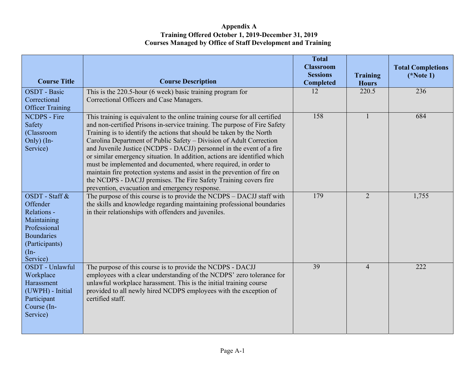### **Appendix A Training Offered October 1, 2019-December 31, 2019 Courses Managed by Office of Staff Development and Training**

|                             |                                                                                                                                                    | <b>Total</b><br><b>Classroom</b><br><b>Sessions</b> | <b>Training</b> | <b>Total Completions</b><br>$(*Note 1)$ |
|-----------------------------|----------------------------------------------------------------------------------------------------------------------------------------------------|-----------------------------------------------------|-----------------|-----------------------------------------|
| <b>Course Title</b>         | <b>Course Description</b>                                                                                                                          | <b>Completed</b>                                    | <b>Hours</b>    |                                         |
| <b>OSDT</b> - Basic         | This is the 220.5-hour (6 week) basic training program for                                                                                         | 12                                                  | 220.5           | 236                                     |
| Correctional                | Correctional Officers and Case Managers.                                                                                                           |                                                     |                 |                                         |
| <b>Officer Training</b>     |                                                                                                                                                    |                                                     |                 |                                         |
| <b>NCDPS</b> - Fire         | This training is equivalent to the online training course for all certified                                                                        | 158                                                 |                 | 684                                     |
| Safety                      | and non-certified Prisons in-service training. The purpose of Fire Safety                                                                          |                                                     |                 |                                         |
| (Classroom                  | Training is to identify the actions that should be taken by the North                                                                              |                                                     |                 |                                         |
| Only) (In-                  | Carolina Department of Public Safety - Division of Adult Correction                                                                                |                                                     |                 |                                         |
| Service)                    | and Juvenile Justice (NCDPS - DACJJ) personnel in the event of a fire<br>or similar emergency situation. In addition, actions are identified which |                                                     |                 |                                         |
|                             | must be implemented and documented, where required, in order to                                                                                    |                                                     |                 |                                         |
|                             | maintain fire protection systems and assist in the prevention of fire on                                                                           |                                                     |                 |                                         |
|                             | the NCDPS - DACJJ premises. The Fire Safety Training covers fire                                                                                   |                                                     |                 |                                         |
|                             | prevention, evacuation and emergency response.                                                                                                     |                                                     |                 |                                         |
| OSDT - Staff &              | The purpose of this course is to provide the NCDPS – DACJJ staff with                                                                              | 179                                                 | 2               | 1,755                                   |
| Offender                    | the skills and knowledge regarding maintaining professional boundaries                                                                             |                                                     |                 |                                         |
| Relations -                 | in their relationships with offenders and juveniles.                                                                                               |                                                     |                 |                                         |
| Maintaining                 |                                                                                                                                                    |                                                     |                 |                                         |
| Professional                |                                                                                                                                                    |                                                     |                 |                                         |
| <b>Boundaries</b>           |                                                                                                                                                    |                                                     |                 |                                         |
| (Participants)              |                                                                                                                                                    |                                                     |                 |                                         |
| $(In-$                      |                                                                                                                                                    |                                                     |                 |                                         |
| Service)<br>OSDT - Unlawful | The purpose of this course is to provide the NCDPS - DACJJ                                                                                         | 39                                                  | $\overline{4}$  | 222                                     |
| Workplace                   | employees with a clear understanding of the NCDPS' zero tolerance for                                                                              |                                                     |                 |                                         |
| Harassment                  | unlawful workplace harassment. This is the initial training course                                                                                 |                                                     |                 |                                         |
| (UWPH) - Initial            | provided to all newly hired NCDPS employees with the exception of                                                                                  |                                                     |                 |                                         |
| Participant                 | certified staff.                                                                                                                                   |                                                     |                 |                                         |
| Course (In-                 |                                                                                                                                                    |                                                     |                 |                                         |
| Service)                    |                                                                                                                                                    |                                                     |                 |                                         |
|                             |                                                                                                                                                    |                                                     |                 |                                         |
|                             |                                                                                                                                                    |                                                     |                 |                                         |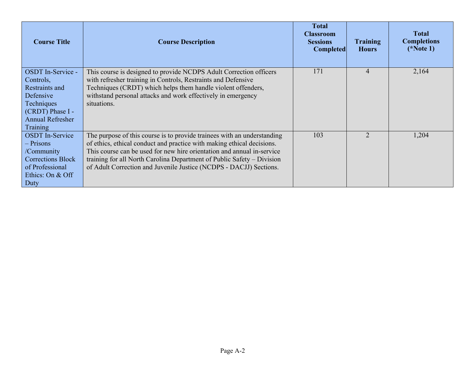| <b>Course Title</b>         | <b>Course Description</b>                                                                                                    | <b>Total</b><br><b>Classroom</b><br><b>Sessions</b><br><b>Completed</b> | <b>Training</b><br><b>Hours</b> | <b>Total</b><br><b>Completions</b><br>$(*Note 1)$ |
|-----------------------------|------------------------------------------------------------------------------------------------------------------------------|-------------------------------------------------------------------------|---------------------------------|---------------------------------------------------|
| <b>OSDT</b> In-Service -    | This course is designed to provide NCDPS Adult Correction officers                                                           | 171                                                                     | 4                               | 2,164                                             |
| Controls,                   | with refresher training in Controls, Restraints and Defensive                                                                |                                                                         |                                 |                                                   |
| Restraints and<br>Defensive | Techniques (CRDT) which helps them handle violent offenders,<br>withstand personal attacks and work effectively in emergency |                                                                         |                                 |                                                   |
| Techniques                  | situations.                                                                                                                  |                                                                         |                                 |                                                   |
| (CRDT) Phase I -            |                                                                                                                              |                                                                         |                                 |                                                   |
| <b>Annual Refresher</b>     |                                                                                                                              |                                                                         |                                 |                                                   |
| Training                    |                                                                                                                              |                                                                         |                                 |                                                   |
| <b>OSDT</b> In-Service      | The purpose of this course is to provide trainees with an understanding                                                      | 103                                                                     | $\mathcal{D}_{\cdot}$           | 1,204                                             |
| - Prisons                   | of ethics, ethical conduct and practice with making ethical decisions.                                                       |                                                                         |                                 |                                                   |
| /Community                  | This course can be used for new hire orientation and annual in-service                                                       |                                                                         |                                 |                                                   |
| <b>Corrections Block</b>    | training for all North Carolina Department of Public Safety – Division                                                       |                                                                         |                                 |                                                   |
| of Professional             | of Adult Correction and Juvenile Justice (NCDPS - DACJJ) Sections.                                                           |                                                                         |                                 |                                                   |
| Ethics: On & Off            |                                                                                                                              |                                                                         |                                 |                                                   |
| Duty                        |                                                                                                                              |                                                                         |                                 |                                                   |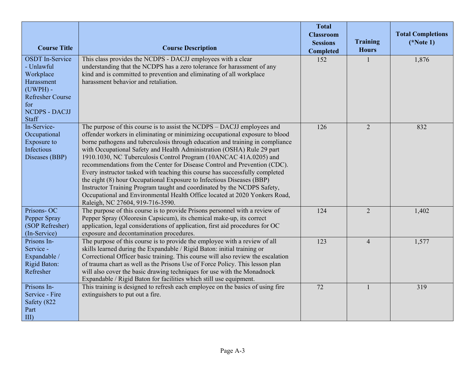| <b>Course Title</b>                                                                                                                              | <b>Course Description</b>                                                                                                                                                                                                                                                                                                                                                                                                                                                                                                                                                                                                                                                                                                                                                                                                  | <b>Total</b><br><b>Classroom</b><br><b>Sessions</b><br>Completed | Training<br><b>Hours</b> | <b>Total Completions</b><br>$(*Note 1)$ |
|--------------------------------------------------------------------------------------------------------------------------------------------------|----------------------------------------------------------------------------------------------------------------------------------------------------------------------------------------------------------------------------------------------------------------------------------------------------------------------------------------------------------------------------------------------------------------------------------------------------------------------------------------------------------------------------------------------------------------------------------------------------------------------------------------------------------------------------------------------------------------------------------------------------------------------------------------------------------------------------|------------------------------------------------------------------|--------------------------|-----------------------------------------|
| <b>OSDT</b> In-Service<br>- Unlawful<br>Workplace<br>Harassment<br>$(UWPH)$ -<br><b>Refresher Course</b><br>for<br><b>NCDPS - DACJJ</b><br>Staff | This class provides the NCDPS - DACJJ employees with a clear<br>understanding that the NCDPS has a zero tolerance for harassment of any<br>kind and is committed to prevention and eliminating of all workplace<br>harassment behavior and retaliation.                                                                                                                                                                                                                                                                                                                                                                                                                                                                                                                                                                    | 152                                                              |                          | 1,876                                   |
| In-Service-<br>Occupational<br>Exposure to<br>Infectious<br>Diseases (BBP)                                                                       | The purpose of this course is to assist the NCDPS – DACJJ employees and<br>offender workers in eliminating or minimizing occupational exposure to blood<br>borne pathogens and tuberculosis through education and training in compliance<br>with Occupational Safety and Health Administration (OSHA) Rule 29 part<br>1910.1030, NC Tuberculosis Control Program (10ANCAC 41A.0205) and<br>recommendations from the Center for Disease Control and Prevention (CDC).<br>Every instructor tasked with teaching this course has successfully completed<br>the eight (8) hour Occupational Exposure to Infectious Diseases (BBP)<br>Instructor Training Program taught and coordinated by the NCDPS Safety,<br>Occupational and Environmental Health Office located at 2020 Yonkers Road,<br>Raleigh, NC 27604, 919-716-3590. | 126                                                              | $\overline{2}$           | 832                                     |
| Prisons-OC<br>Pepper Spray<br>(SOP Refresher)<br>(In-Service)                                                                                    | The purpose of this course is to provide Prisons personnel with a review of<br>Pepper Spray (Oleoresin Capsicum), its chemical make-up, its correct<br>application, legal considerations of application, first aid procedures for OC<br>exposure and decontamination procedures.                                                                                                                                                                                                                                                                                                                                                                                                                                                                                                                                           | 124                                                              | $\overline{2}$           | 1,402                                   |
| Prisons In-<br>Service -<br>Expandable /<br>Rigid Baton:<br>Refresher                                                                            | The purpose of this course is to provide the employee with a review of all<br>skills learned during the Expandable / Rigid Baton: initial training or<br>Correctional Officer basic training. This course will also review the escalation<br>of trauma chart as well as the Prisons Use of Force Policy. This lesson plan<br>will also cover the basic drawing techniques for use with the Monadnock<br>Expandable / Rigid Baton for facilities which still use equipment.                                                                                                                                                                                                                                                                                                                                                 | 123                                                              | $\overline{4}$           | 1,577                                   |
| Prisons In-<br>Service - Fire<br>Safety (822<br>Part<br>III)                                                                                     | This training is designed to refresh each employee on the basics of using fire<br>extinguishers to put out a fire.                                                                                                                                                                                                                                                                                                                                                                                                                                                                                                                                                                                                                                                                                                         | 72                                                               |                          | 319                                     |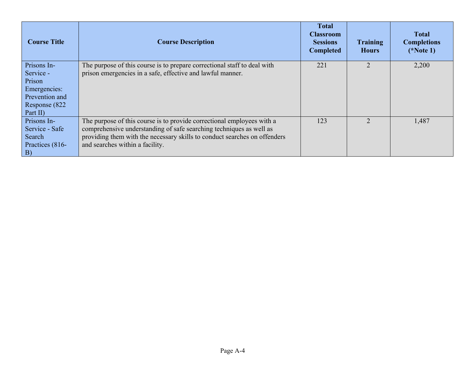| <b>Course Title</b>      | <b>Course Description</b>                                                                                                              | <b>Total</b><br><b>Classroom</b><br><b>Sessions</b><br><b>Completed</b> | <b>Training</b><br><b>Hours</b> | <b>Total</b><br><b>Completions</b><br>$(*Note 1)$ |
|--------------------------|----------------------------------------------------------------------------------------------------------------------------------------|-------------------------------------------------------------------------|---------------------------------|---------------------------------------------------|
| Prisons In-<br>Service - | The purpose of this course is to prepare correctional staff to deal with<br>prison emergencies in a safe, effective and lawful manner. | 221                                                                     |                                 | 2,200                                             |
| Prison                   |                                                                                                                                        |                                                                         |                                 |                                                   |
| Emergencies:             |                                                                                                                                        |                                                                         |                                 |                                                   |
| Prevention and           |                                                                                                                                        |                                                                         |                                 |                                                   |
| Response (822)           |                                                                                                                                        |                                                                         |                                 |                                                   |
| Part II)                 |                                                                                                                                        |                                                                         |                                 |                                                   |
| Prisons In-              | The purpose of this course is to provide correctional employees with a                                                                 | 123                                                                     | $\mathcal{D}_{\mathcal{L}}$     | 1,487                                             |
| Service - Safe           | comprehensive understanding of safe searching techniques as well as                                                                    |                                                                         |                                 |                                                   |
| Search                   | providing them with the necessary skills to conduct searches on offenders                                                              |                                                                         |                                 |                                                   |
| Practices (816-          | and searches within a facility.                                                                                                        |                                                                         |                                 |                                                   |
| <b>B</b> )               |                                                                                                                                        |                                                                         |                                 |                                                   |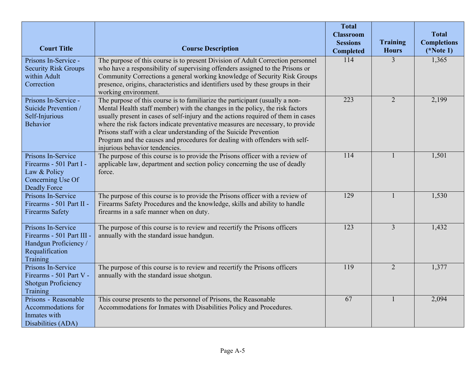|                                                                                                           |                                                                                                                                                                                                                                                                                                                                                                                                                                                                                                                             | <b>Total</b><br><b>Classroom</b> |                                 | <b>Total</b>                      |
|-----------------------------------------------------------------------------------------------------------|-----------------------------------------------------------------------------------------------------------------------------------------------------------------------------------------------------------------------------------------------------------------------------------------------------------------------------------------------------------------------------------------------------------------------------------------------------------------------------------------------------------------------------|----------------------------------|---------------------------------|-----------------------------------|
| <b>Court Title</b>                                                                                        | <b>Course Description</b>                                                                                                                                                                                                                                                                                                                                                                                                                                                                                                   | <b>Sessions</b><br>Completed     | <b>Training</b><br><b>Hours</b> | <b>Completions</b><br>$(*Note 1)$ |
| Prisons In-Service -<br><b>Security Risk Groups</b><br>within Adult<br>Correction                         | The purpose of this course is to present Division of Adult Correction personnel<br>who have a responsibility of supervising offenders assigned to the Prisons or<br>Community Corrections a general working knowledge of Security Risk Groups<br>presence, origins, characteristics and identifiers used by these groups in their<br>working environment.                                                                                                                                                                   | 114                              | 3                               | 1,365                             |
| Prisons In-Service -<br>Suicide Prevention /<br>Self-Injurious<br><b>Behavior</b>                         | The purpose of this course is to familiarize the participant (usually a non-<br>Mental Health staff member) with the changes in the policy, the risk factors<br>usually present in cases of self-injury and the actions required of them in cases<br>where the risk factors indicate preventative measures are necessary, to provide<br>Prisons staff with a clear understanding of the Suicide Prevention<br>Program and the causes and procedures for dealing with offenders with self-<br>injurious behavior tendencies. | 223                              | $\overline{2}$                  | 2,199                             |
| Prisons In-Service<br>Firearms - 501 Part I -<br>Law & Policy<br>Concerning Use Of<br><b>Deadly Force</b> | The purpose of this course is to provide the Prisons officer with a review of<br>applicable law, department and section policy concerning the use of deadly<br>force.                                                                                                                                                                                                                                                                                                                                                       | 114                              |                                 | 1,501                             |
| Prisons In-Service<br>Firearms - 501 Part II -<br><b>Firearms Safety</b>                                  | The purpose of this course is to provide the Prisons officer with a review of<br>Firearms Safety Procedures and the knowledge, skills and ability to handle<br>firearms in a safe manner when on duty.                                                                                                                                                                                                                                                                                                                      | 129                              |                                 | 1,530                             |
| Prisons In-Service<br>Firearms - 501 Part III -<br>Handgun Proficiency /<br>Requalification<br>Training   | The purpose of this course is to review and recertify the Prisons officers<br>annually with the standard issue handgun.                                                                                                                                                                                                                                                                                                                                                                                                     | 123                              | $\overline{3}$                  | 1,432                             |
| Prisons In-Service<br>Firearms - 501 Part V -<br><b>Shotgun Proficiency</b><br>Training                   | The purpose of this course is to review and recertify the Prisons officers<br>annually with the standard issue shotgun.                                                                                                                                                                                                                                                                                                                                                                                                     | 119                              | $\overline{2}$                  | 1,377                             |
| Prisons - Reasonable<br>Accommodations for<br>Inmates with<br>Disabilities (ADA)                          | This course presents to the personnel of Prisons, the Reasonable<br>Accommodations for Inmates with Disabilities Policy and Procedures.                                                                                                                                                                                                                                                                                                                                                                                     | $\overline{67}$                  |                                 | 2,094                             |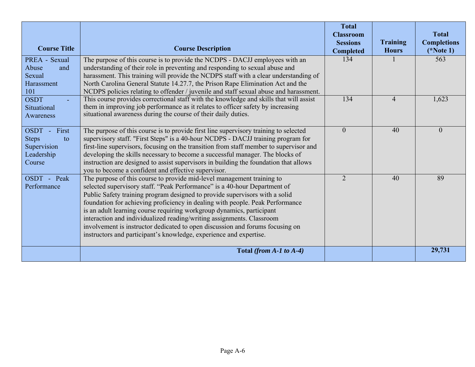|                                                                             |                                                                                                                                                                                                                                                                                                                                                                                                                                                                                                                                                                                                                              | <b>Total</b><br><b>Classroom</b>    |                                 | <b>Total</b>                      |
|-----------------------------------------------------------------------------|------------------------------------------------------------------------------------------------------------------------------------------------------------------------------------------------------------------------------------------------------------------------------------------------------------------------------------------------------------------------------------------------------------------------------------------------------------------------------------------------------------------------------------------------------------------------------------------------------------------------------|-------------------------------------|---------------------------------|-----------------------------------|
| <b>Course Title</b>                                                         | <b>Course Description</b>                                                                                                                                                                                                                                                                                                                                                                                                                                                                                                                                                                                                    | <b>Sessions</b><br><b>Completed</b> | <b>Training</b><br><b>Hours</b> | <b>Completions</b><br>$(*Note 1)$ |
| PREA - Sexual<br>Abuse<br>and<br>Sexual<br>Harassment<br>101                | The purpose of this course is to provide the NCDPS - DACJJ employees with an<br>understanding of their role in preventing and responding to sexual abuse and<br>harassment. This training will provide the NCDPS staff with a clear understanding of<br>North Carolina General Statute 14.27.7, the Prison Rape Elimination Act and the<br>NCDPS policies relating to offender / juvenile and staff sexual abuse and harassment.                                                                                                                                                                                             | 134                                 |                                 | 563                               |
| <b>OSDT</b><br>Situational<br>Awareness                                     | This course provides correctional staff with the knowledge and skills that will assist<br>them in improving job performance as it relates to officer safety by increasing<br>situational awareness during the course of their daily duties.                                                                                                                                                                                                                                                                                                                                                                                  | 134                                 | $\overline{4}$                  | 1,623                             |
| First<br>OSDT-<br><b>Steps</b><br>to<br>Supervision<br>Leadership<br>Course | The purpose of this course is to provide first line supervisory training to selected<br>supervisory staff. "First Steps" is a 40-hour NCDPS - DACJJ training program for<br>first-line supervisors, focusing on the transition from staff member to supervisor and<br>developing the skills necessary to become a successful manager. The blocks of<br>instruction are designed to assist supervisors in building the foundation that allows<br>you to become a confident and effective supervisor.                                                                                                                          | $\overline{0}$                      | 40                              | $\boldsymbol{0}$                  |
| OSDT - Peak<br>Performance                                                  | The purpose of this course to provide mid-level management training to<br>selected supervisory staff. "Peak Performance" is a 40-hour Department of<br>Public Safety training program designed to provide supervisors with a solid<br>foundation for achieving proficiency in dealing with people. Peak Performance<br>is an adult learning course requiring workgroup dynamics, participant<br>interaction and individualized reading/writing assignments. Classroom<br>involvement is instructor dedicated to open discussion and forums focusing on<br>instructors and participant's knowledge, experience and expertise. | $\mathcal{D}_{\mathcal{L}}$         | 40                              | 89                                |
|                                                                             | Total (from $A-1$ to $A-4$ )                                                                                                                                                                                                                                                                                                                                                                                                                                                                                                                                                                                                 |                                     |                                 | 29,731                            |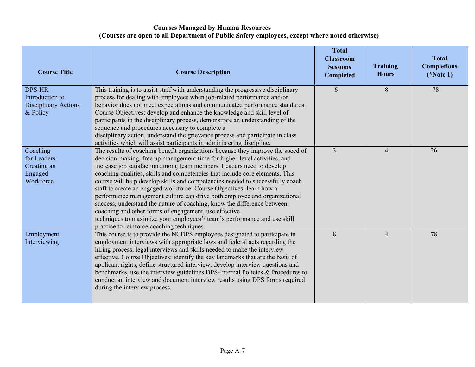# **Courses Managed by Human Resources (Courses are open to all Department of Public Safety employees, except where noted otherwise)**

| <b>Course Title</b>                                                         | <b>Course Description</b>                                                                                                                                                                                                                                                                                                                                                                                                                                                                                                                                                                                                                                                                                                                                                                                                | <b>Total</b><br><b>Classroom</b><br><b>Sessions</b><br><b>Completed</b> | <b>Training</b><br><b>Hours</b> | <b>Total</b><br><b>Completions</b><br>$(*Note 1)$ |
|-----------------------------------------------------------------------------|--------------------------------------------------------------------------------------------------------------------------------------------------------------------------------------------------------------------------------------------------------------------------------------------------------------------------------------------------------------------------------------------------------------------------------------------------------------------------------------------------------------------------------------------------------------------------------------------------------------------------------------------------------------------------------------------------------------------------------------------------------------------------------------------------------------------------|-------------------------------------------------------------------------|---------------------------------|---------------------------------------------------|
| <b>DPS-HR</b><br>Introduction to<br><b>Disciplinary Actions</b><br>& Policy | This training is to assist staff with understanding the progressive disciplinary<br>process for dealing with employees when job-related performance and/or<br>behavior does not meet expectations and communicated performance standards.<br>Course Objectives: develop and enhance the knowledge and skill level of<br>participants in the disciplinary process, demonstrate an understanding of the<br>sequence and procedures necessary to complete a<br>disciplinary action, understand the grievance process and participate in class<br>activities which will assist participants in administering discipline.                                                                                                                                                                                                     | 6                                                                       | 8                               | 78                                                |
| Coaching<br>for Leaders:<br>Creating an<br>Engaged<br>Workforce             | The results of coaching benefit organizations because they improve the speed of<br>decision-making, free up management time for higher-level activities, and<br>increase job satisfaction among team members. Leaders need to develop<br>coaching qualities, skills and competencies that include core elements. This<br>course will help develop skills and competencies needed to successfully coach<br>staff to create an engaged workforce. Course Objectives: learn how a<br>performance management culture can drive both employee and organizational<br>success, understand the nature of coaching, know the difference between<br>coaching and other forms of engagement, use effective<br>techniques to maximize your employees'/team's performance and use skill<br>practice to reinforce coaching techniques. | $\overline{3}$                                                          | $\overline{4}$                  | 26                                                |
| Employment<br>Interviewing                                                  | This course is to provide the NCDPS employees designated to participate in<br>employment interviews with appropriate laws and federal acts regarding the<br>hiring process, legal interviews and skills needed to make the interview<br>effective. Course Objectives: identify the key landmarks that are the basis of<br>applicant rights, define structured interview, develop interview questions and<br>benchmarks, use the interview guidelines DPS-Internal Policies & Procedures to<br>conduct an interview and document interview results using DPS forms required<br>during the interview process.                                                                                                                                                                                                              | 8                                                                       | $\overline{4}$                  | 78                                                |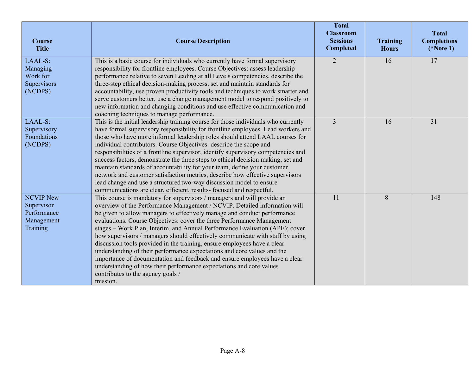| Course<br><b>Title</b>                                                         | <b>Course Description</b>                                                                                                                                                                                                                                                                                                                                                                                                                                                                                                                                                                                                                                                                                                                                                                                                               | <b>Total</b><br><b>Classroom</b><br><b>Sessions</b><br><b>Completed</b> | <b>Training</b><br><b>Hours</b> | <b>Total</b><br><b>Completions</b><br>$(*Note 1)$ |
|--------------------------------------------------------------------------------|-----------------------------------------------------------------------------------------------------------------------------------------------------------------------------------------------------------------------------------------------------------------------------------------------------------------------------------------------------------------------------------------------------------------------------------------------------------------------------------------------------------------------------------------------------------------------------------------------------------------------------------------------------------------------------------------------------------------------------------------------------------------------------------------------------------------------------------------|-------------------------------------------------------------------------|---------------------------------|---------------------------------------------------|
| LAAL-S:<br>Managing<br>Work for<br>Supervisors<br>(NCDPS)                      | This is a basic course for individuals who currently have formal supervisory<br>responsibility for frontline employees. Course Objectives: assess leadership<br>performance relative to seven Leading at all Levels competencies, describe the<br>three-step ethical decision-making process, set and maintain standards for<br>accountability, use proven productivity tools and techniques to work smarter and<br>serve customers better, use a change management model to respond positively to<br>new information and changing conditions and use effective communication and<br>coaching techniques to manage performance.                                                                                                                                                                                                         | $\overline{2}$                                                          | 16                              | $\overline{17}$                                   |
| LAAL-S:<br>Supervisory<br>Foundations<br>(NCDPS)                               | This is the initial leadership training course for those individuals who currently<br>have formal supervisory responsibility for frontline employees. Lead workers and<br>those who have more informal leadership roles should attend LAAL courses for<br>individual contributors. Course Objectives: describe the scope and<br>responsibilities of a frontline supervisor, identify supervisory competencies and<br>success factors, demonstrate the three steps to ethical decision making, set and<br>maintain standards of accountability for your team, define your customer<br>network and customer satisfaction metrics, describe how effective supervisors<br>lead change and use a structured two-way discussion model to ensure<br>communications are clear, efficient, results- focused and respectful.                      | $\overline{3}$                                                          | 16                              | 31                                                |
| <b>NCVIP New</b><br>Supervisor<br>Performance<br>Management<br><b>Training</b> | This course is mandatory for supervisors / managers and will provide an<br>overview of the Performance Management / NCVIP. Detailed information will<br>be given to allow managers to effectively manage and conduct performance<br>evaluations. Course Objectives: cover the three Performance Management<br>stages - Work Plan, Interim, and Annual Performance Evaluation (APE); cover<br>how supervisors / managers should effectively communicate with staff by using<br>discussion tools provided in the training, ensure employees have a clear<br>understanding of their performance expectations and core values and the<br>importance of documentation and feedback and ensure employees have a clear<br>understanding of how their performance expectations and core values<br>contributes to the agency goals /<br>mission. | 11                                                                      | 8                               | 148                                               |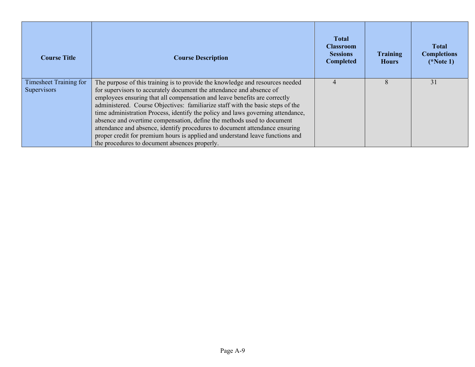| <b>Course Title</b>                   | <b>Course Description</b>                                                                                                                                                                                                                                                                                                                                                                                                                                                                                                                                                                                                                                                                          | <b>Total</b><br><b>Classroom</b><br><b>Sessions</b><br><b>Completed</b> | Training<br><b>Hours</b> | <b>Total</b><br><b>Completions</b><br>$(*Note 1)$ |
|---------------------------------------|----------------------------------------------------------------------------------------------------------------------------------------------------------------------------------------------------------------------------------------------------------------------------------------------------------------------------------------------------------------------------------------------------------------------------------------------------------------------------------------------------------------------------------------------------------------------------------------------------------------------------------------------------------------------------------------------------|-------------------------------------------------------------------------|--------------------------|---------------------------------------------------|
| Timesheet Training for<br>Supervisors | The purpose of this training is to provide the knowledge and resources needed<br>for supervisors to accurately document the attendance and absence of<br>employees ensuring that all compensation and leave benefits are correctly<br>administered. Course Objectives: familiarize staff with the basic steps of the<br>time administration Process, identify the policy and laws governing attendance,<br>absence and overtime compensation, define the methods used to document<br>attendance and absence, identify procedures to document attendance ensuring<br>proper credit for premium hours is applied and understand leave functions and<br>the procedures to document absences properly. |                                                                         |                          | 31                                                |